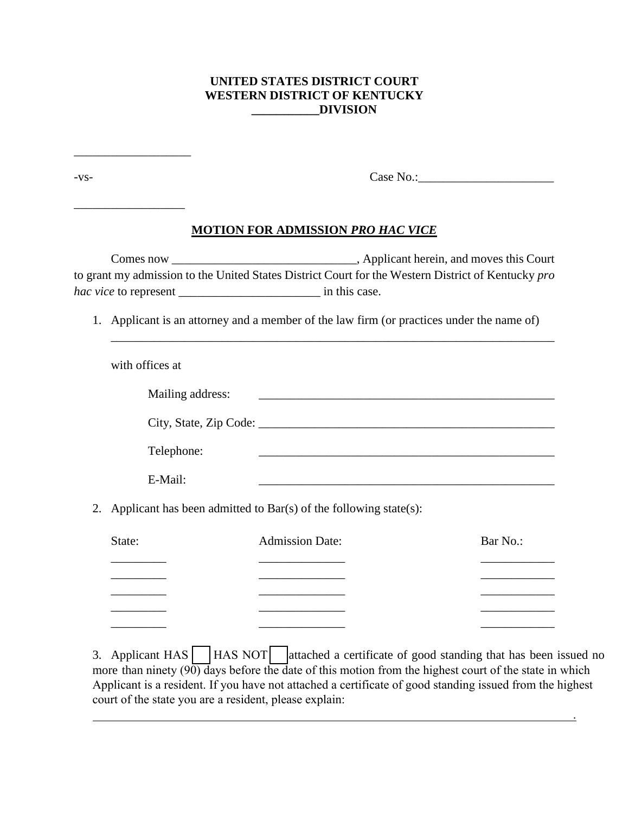## **UNITED STATES DISTRICT COURT WESTERN DISTRICT OF KENTUCKY \_\_\_\_\_\_\_\_\_\_\_DIVISION**

\_\_\_\_\_\_\_\_\_\_\_\_\_\_\_\_\_\_\_

| -VS- |                                                                                                                                                                                                 |                                                                                                                       |                                                                                                                                                                                                                                      |
|------|-------------------------------------------------------------------------------------------------------------------------------------------------------------------------------------------------|-----------------------------------------------------------------------------------------------------------------------|--------------------------------------------------------------------------------------------------------------------------------------------------------------------------------------------------------------------------------------|
|      |                                                                                                                                                                                                 | <b>MOTION FOR ADMISSION PRO HAC VICE</b>                                                                              |                                                                                                                                                                                                                                      |
|      | to grant my admission to the United States District Court for the Western District of Kentucky pro<br>1. Applicant is an attorney and a member of the law firm (or practices under the name of) |                                                                                                                       |                                                                                                                                                                                                                                      |
|      | with offices at                                                                                                                                                                                 |                                                                                                                       |                                                                                                                                                                                                                                      |
|      | Mailing address:<br>Telephone:                                                                                                                                                                  | <u> 1989 - Johann Harry Harry Harry Harry Harry Harry Harry Harry Harry Harry Harry Harry Harry Harry Harry Harry</u> |                                                                                                                                                                                                                                      |
|      | E-Mail:                                                                                                                                                                                         |                                                                                                                       |                                                                                                                                                                                                                                      |
| 2.   | Applicant has been admitted to $Bar(s)$ of the following state(s):                                                                                                                              |                                                                                                                       |                                                                                                                                                                                                                                      |
|      | State:                                                                                                                                                                                          | <b>Admission Date:</b>                                                                                                | Bar No.:                                                                                                                                                                                                                             |
|      |                                                                                                                                                                                                 | <u> 1990 - Johann Barnett, fransk politiker (</u>                                                                     |                                                                                                                                                                                                                                      |
|      |                                                                                                                                                                                                 |                                                                                                                       | <u> The Community of the Community of the Community of the Community of the Community of the Community of the Community of the Community of the Community of the Community of the Community of the Community of the Community of</u> |

more than ninety (90) days before the date of this motion from the highest court of the state in which Applicant is a resident. If you have not attached a certificate of good standing issued from the highest court of the state you are a resident, please explain:

.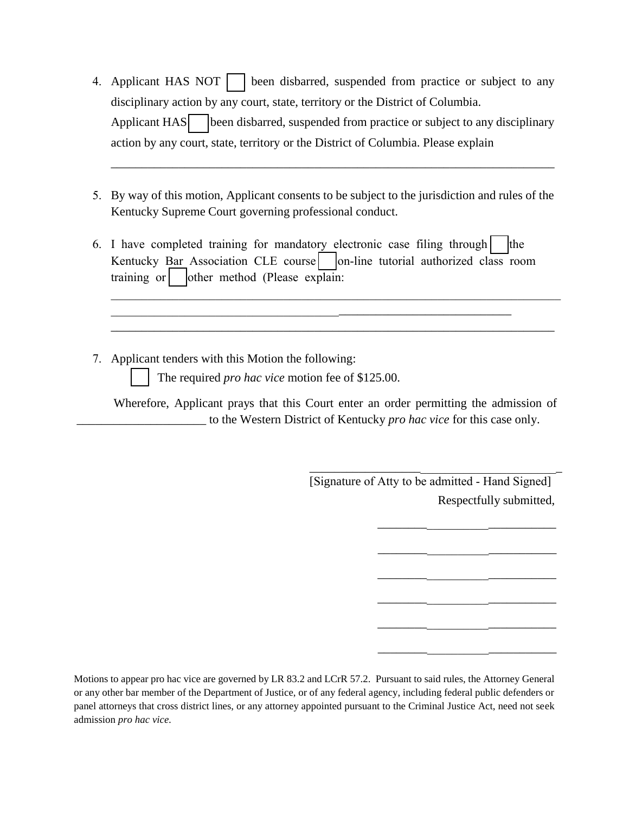- 4. Applicant HAS NOT | | been disbarred, suspended from practice or subject to any disciplinary action by any court, state, territory or the District of Columbia. Applicant HAS (been disbarred, suspended from practice or subject to any disciplinary action by any court, state, territory or the District of Columbia. Please explain
- 5. By way of this motion, Applicant consents to be subject to the jurisdiction and rules of the Kentucky Supreme Court governing professional conduct.

\_\_\_\_\_\_\_\_\_\_\_\_\_\_\_\_\_\_\_\_\_\_\_\_\_\_\_\_\_\_\_\_\_\_\_\_\_\_\_\_\_\_\_\_\_\_\_\_\_\_\_\_\_\_\_\_\_\_\_\_\_\_\_\_\_\_\_\_\_\_\_\_

6. I have completed training for mandatory electronic case filing through  $\vert$  the Kentucky Bar Association CLE course on-line tutorial authorized class room training or  $\vert$  other method (Please explain:

 $\frac{1}{2}$  , and the contribution of the contribution of the contribution of the contribution of the contribution of the contribution of the contribution of the contribution of the contribution of the contribution of the c

7. Applicant tenders with this Motion the following:

The required *pro hac vice* motion fee of \$125.00.

Wherefore, Applicant prays that this Court enter an order permitting the admission of \_\_\_\_\_\_\_\_\_\_\_\_\_\_\_\_\_\_\_\_\_ to the Western District of Kentucky *pro hac vice* for this case only.

 $\mathcal{L}_\text{G}$  , and the contribution of the contribution of the contribution of the contribution of the contribution of the contribution of the contribution of the contribution of the contribution of the contribution of t

\_\_\_\_\_\_\_\_\_\_\_\_\_\_\_\_\_\_\_\_\_\_\_\_\_\_\_\_\_\_\_\_\_\_\_\_\_\_\_\_\_\_\_\_\_\_\_\_\_\_\_\_\_\_\_\_\_\_\_\_\_\_\_\_\_\_\_\_\_\_\_\_

Respectfully submitted, \_\_\_\_\_\_\_\_\_\_\_\_\_\_\_\_\_\_\_\_\_\_\_\_\_\_\_\_\_\_\_\_\_\_\_\_\_\_\_\_\_ [Signature of Atty to be admitted - Hand Signed]

\_\_\_\_\_\_\_\_\_\_\_\_\_\_\_\_\_\_\_\_\_\_\_\_\_\_\_\_\_

\_\_\_\_\_\_\_\_\_\_\_\_\_\_\_\_\_\_\_\_\_\_\_\_\_\_\_\_\_

\_\_\_\_\_\_\_\_\_\_\_\_\_\_\_\_\_\_\_\_\_\_\_\_\_\_\_\_\_

\_\_\_\_\_\_\_\_\_\_\_\_\_\_\_\_\_\_\_\_\_\_\_\_\_\_\_\_\_

\_\_\_\_\_\_\_\_\_\_\_\_\_\_\_\_\_\_\_\_\_\_\_\_\_\_\_\_\_

\_\_\_\_\_\_\_\_\_\_\_\_\_\_\_\_\_\_\_\_\_\_\_\_\_\_\_\_\_

Motions to appear pro hac vice are governed by LR 83.2 and LCrR 57.2. Pursuant to said rules, the Attorney General or any other bar member of the Department of Justice, or of any federal agency, including federal public defenders or panel attorneys that cross district lines, or any attorney appointed pursuant to the Criminal Justice Act, need not seek admission *pro hac vice.*